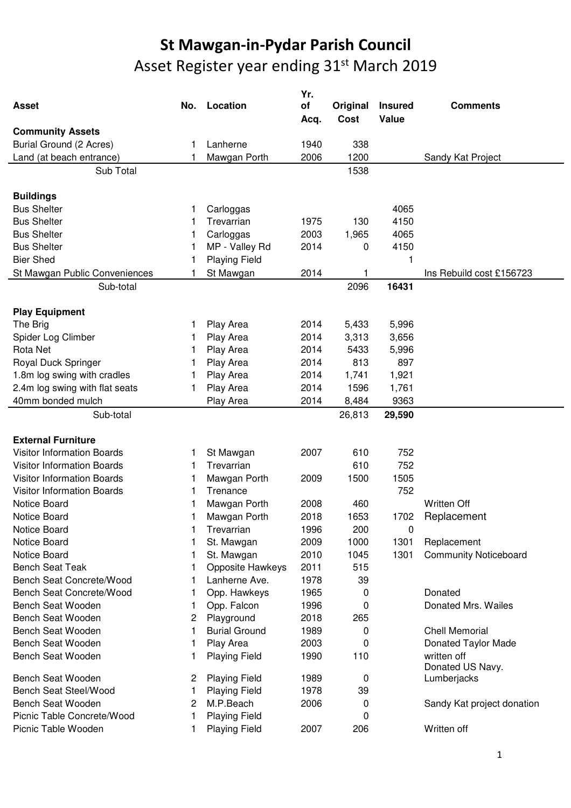## **St Mawgan-in-Pydar Parish Council**  Asset Register year ending 31<sup>st</sup> March 2019

| <b>Asset</b>                      | No. | Location             | Yr.<br>of<br>Acq. | Original<br><b>Cost</b> | <b>Insured</b><br>Value | <b>Comments</b>                 |
|-----------------------------------|-----|----------------------|-------------------|-------------------------|-------------------------|---------------------------------|
| <b>Community Assets</b>           |     |                      |                   |                         |                         |                                 |
| Burial Ground (2 Acres)           |     | Lanherne             | 1940              | 338                     |                         |                                 |
| Land (at beach entrance)          |     | Mawgan Porth         | 2006              | 1200                    |                         | Sandy Kat Project               |
| Sub Total                         |     |                      |                   | 1538                    |                         |                                 |
| <b>Buildings</b>                  |     |                      |                   |                         |                         |                                 |
| <b>Bus Shelter</b>                | 1   | Carloggas            |                   |                         | 4065                    |                                 |
| <b>Bus Shelter</b>                | 1   | Trevarrian           | 1975              | 130                     | 4150                    |                                 |
| <b>Bus Shelter</b>                |     | Carloggas            | 2003              | 1,965                   | 4065                    |                                 |
| <b>Bus Shelter</b>                |     | MP - Valley Rd       | 2014              | 0                       | 4150                    |                                 |
| <b>Bier Shed</b>                  |     | <b>Playing Field</b> |                   |                         | 1                       |                                 |
| St Mawgan Public Conveniences     |     | St Mawgan            | 2014              | 1                       |                         | Ins Rebuild cost £156723        |
| Sub-total                         |     |                      |                   | 2096                    | 16431                   |                                 |
| <b>Play Equipment</b>             |     |                      |                   |                         |                         |                                 |
| The Brig                          | 1   | Play Area            | 2014              | 5,433                   | 5,996                   |                                 |
| Spider Log Climber                |     | Play Area            | 2014              | 3,313                   | 3,656                   |                                 |
| Rota Net                          |     | Play Area            | 2014              | 5433                    | 5,996                   |                                 |
| Royal Duck Springer               |     | Play Area            | 2014              | 813                     | 897                     |                                 |
| 1.8m log swing with cradles       |     | Play Area            | 2014              | 1,741                   | 1,921                   |                                 |
| 2.4m log swing with flat seats    |     | Play Area            | 2014              | 1596                    | 1,761                   |                                 |
| 40mm bonded mulch                 |     | Play Area            | 2014              | 8,484                   | 9363                    |                                 |
| Sub-total                         |     |                      |                   | 26,813                  | 29,590                  |                                 |
| <b>External Furniture</b>         |     |                      |                   |                         |                         |                                 |
| <b>Visitor Information Boards</b> | 1   | St Mawgan            | 2007              | 610                     | 752                     |                                 |
| <b>Visitor Information Boards</b> |     | Trevarrian           |                   | 610                     | 752                     |                                 |
| <b>Visitor Information Boards</b> |     | Mawgan Porth         | 2009              | 1500                    | 1505                    |                                 |
| <b>Visitor Information Boards</b> |     | Trenance             |                   |                         | 752                     |                                 |
| Notice Board                      |     | Mawgan Porth         | 2008              | 460                     |                         | <b>Written Off</b>              |
| Notice Board                      |     | Mawgan Porth         | 2018              | 1653                    | 1702                    | Replacement                     |
| Notice Board                      |     | Trevarrian           | 1996              | 200                     | 0                       |                                 |
| Notice Board                      |     | St. Mawgan           | 2009              | 1000                    | 1301                    | Replacement                     |
| Notice Board                      | 1   | St. Mawgan           | 2010              | 1045                    | 1301                    | <b>Community Noticeboard</b>    |
| <b>Bench Seat Teak</b>            |     | Opposite Hawkeys     | 2011              | 515                     |                         |                                 |
| <b>Bench Seat Concrete/Wood</b>   |     | Lanherne Ave.        | 1978              | 39                      |                         |                                 |
| Bench Seat Concrete/Wood          |     | Opp. Hawkeys         | 1965              | 0                       |                         | Donated                         |
| Bench Seat Wooden                 |     | Opp. Falcon          | 1996              | 0                       |                         | Donated Mrs. Wailes             |
| Bench Seat Wooden                 | 2   | Playground           | 2018              | 265                     |                         |                                 |
| Bench Seat Wooden                 | 1   | <b>Burial Ground</b> | 1989              | 0                       |                         | <b>Chell Memorial</b>           |
| Bench Seat Wooden                 |     | Play Area            | 2003              | 0                       |                         | Donated Taylor Made             |
| Bench Seat Wooden                 |     | <b>Playing Field</b> | 1990              | 110                     |                         | written off<br>Donated US Navy. |
| Bench Seat Wooden                 | 2   | <b>Playing Field</b> | 1989              | 0                       |                         | Lumberjacks                     |
| <b>Bench Seat Steel/Wood</b>      |     | <b>Playing Field</b> | 1978              | 39                      |                         |                                 |
| Bench Seat Wooden                 | 2   | M.P.Beach            | 2006              | 0                       |                         | Sandy Kat project donation      |
| Picnic Table Concrete/Wood        | 1   | <b>Playing Field</b> |                   | 0                       |                         |                                 |
| Picnic Table Wooden               | 1   | <b>Playing Field</b> | 2007              | 206                     |                         | Written off                     |